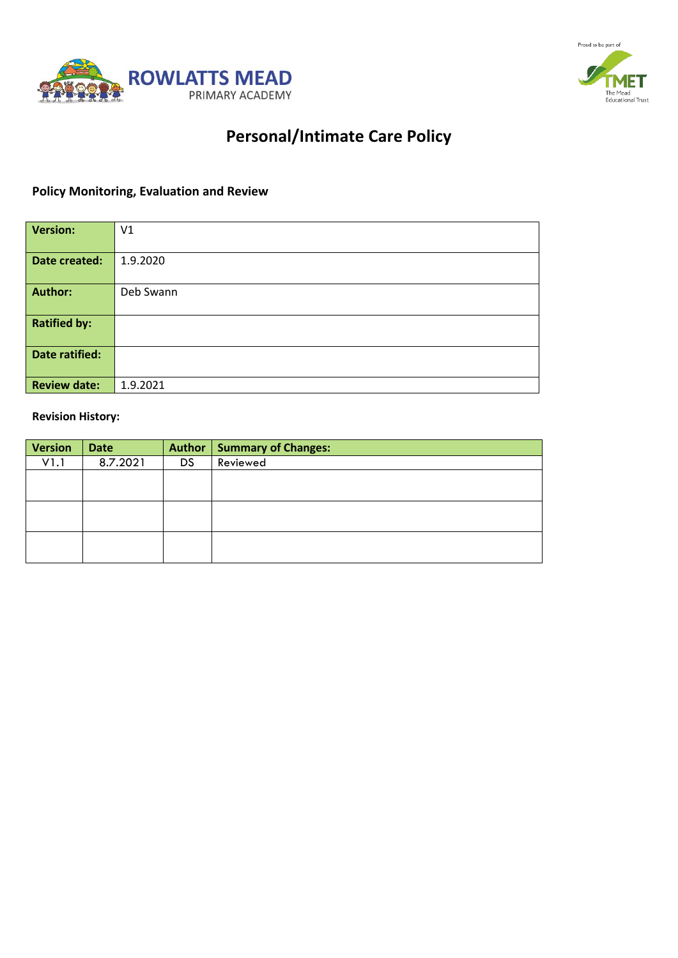



# **Personal/Intimate Care Policy**

# **Policy Monitoring, Evaluation and Review**

| <b>Version:</b>       | V <sub>1</sub> |
|-----------------------|----------------|
| Date created:         | 1.9.2020       |
| <b>Author:</b>        | Deb Swann      |
| <b>Ratified by:</b>   |                |
| <b>Date ratified:</b> |                |
| <b>Review date:</b>   | 1.9.2021       |

#### **Revision History:**

| <b>Version</b> | <b>Date</b> | <b>Author</b> | Summary of Changes: |
|----------------|-------------|---------------|---------------------|
| V1.1           | 8.7.2021    | DS.           | Reviewed            |
|                |             |               |                     |
|                |             |               |                     |
|                |             |               |                     |
|                |             |               |                     |
|                |             |               |                     |
|                |             |               |                     |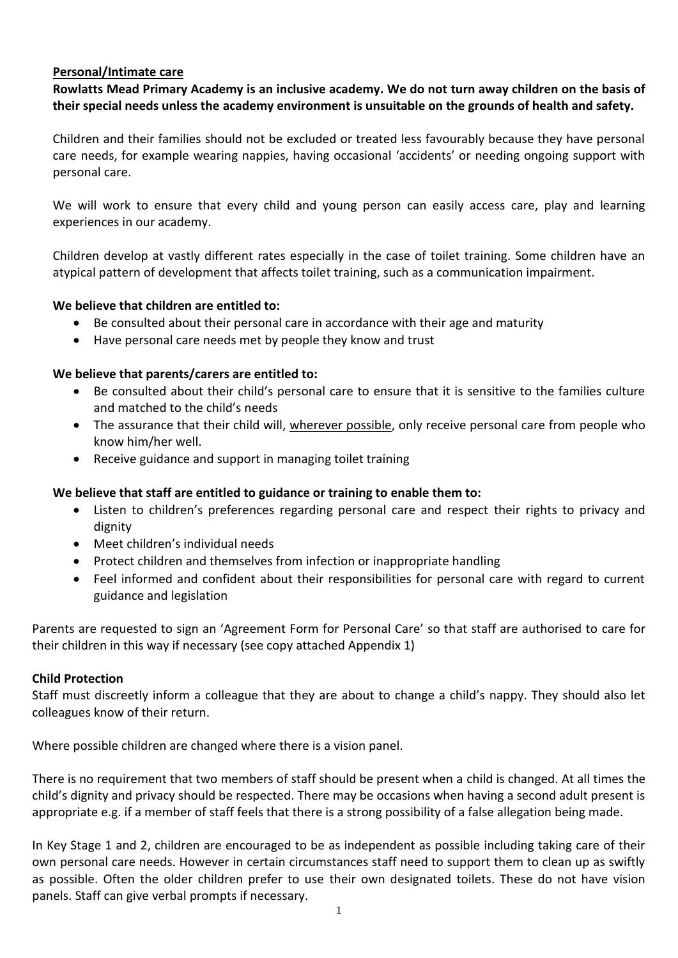# **Personal/Intimate care**

**Rowlatts Mead Primary Academy is an inclusive academy. We do not turn away children on the basis of their special needs unless the academy environment is unsuitable on the grounds of health and safety.**

Children and their families should not be excluded or treated less favourably because they have personal care needs, for example wearing nappies, having occasional 'accidents' or needing ongoing support with personal care.

We will work to ensure that every child and young person can easily access care, play and learning experiences in our academy.

Children develop at vastly different rates especially in the case of toilet training. Some children have an atypical pattern of development that affects toilet training, such as a communication impairment.

### **We believe that children are entitled to:**

- Be consulted about their personal care in accordance with their age and maturity
- Have personal care needs met by people they know and trust

#### **We believe that parents/carers are entitled to:**

- Be consulted about their child's personal care to ensure that it is sensitive to the families culture and matched to the child's needs
- The assurance that their child will, wherever possible, only receive personal care from people who know him/her well.
- Receive guidance and support in managing toilet training

#### **We believe that staff are entitled to guidance or training to enable them to:**

- Listen to children's preferences regarding personal care and respect their rights to privacy and dignity
- Meet children's individual needs
- Protect children and themselves from infection or inappropriate handling
- Feel informed and confident about their responsibilities for personal care with regard to current guidance and legislation

Parents are requested to sign an 'Agreement Form for Personal Care' so that staff are authorised to care for their children in this way if necessary (see copy attached Appendix 1)

#### **Child Protection**

Staff must discreetly inform a colleague that they are about to change a child's nappy. They should also let colleagues know of their return.

Where possible children are changed where there is a vision panel.

There is no requirement that two members of staff should be present when a child is changed. At all times the child's dignity and privacy should be respected. There may be occasions when having a second adult present is appropriate e.g. if a member of staff feels that there is a strong possibility of a false allegation being made.

In Key Stage 1 and 2, children are encouraged to be as independent as possible including taking care of their own personal care needs. However in certain circumstances staff need to support them to clean up as swiftly as possible. Often the older children prefer to use their own designated toilets. These do not have vision panels. Staff can give verbal prompts if necessary.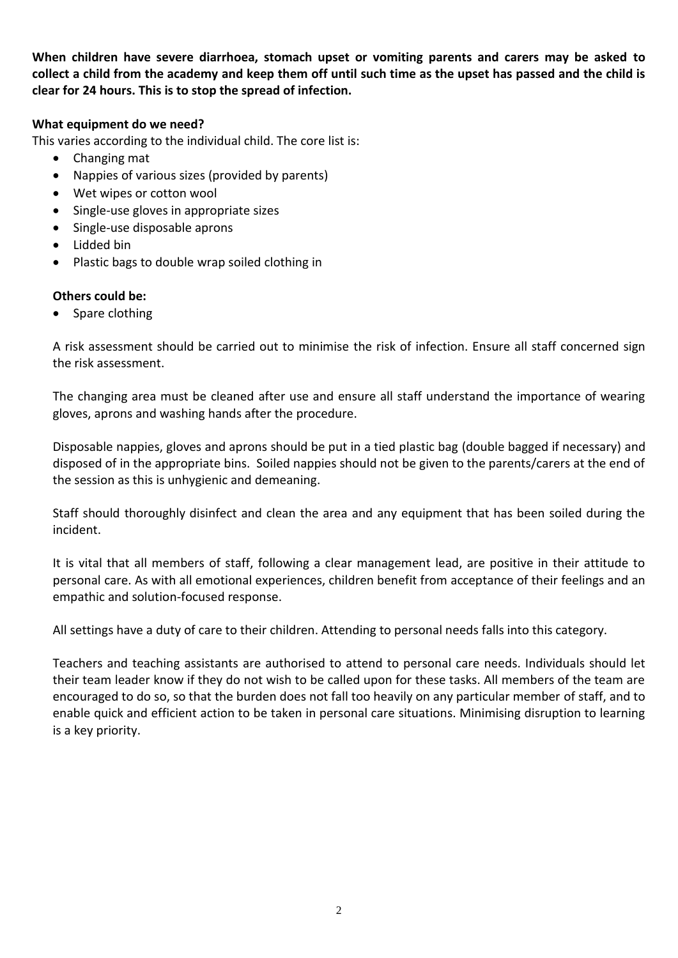**When children have severe diarrhoea, stomach upset or vomiting parents and carers may be asked to collect a child from the academy and keep them off until such time as the upset has passed and the child is clear for 24 hours. This is to stop the spread of infection.**

## **What equipment do we need?**

This varies according to the individual child. The core list is:

- Changing mat
- Nappies of various sizes (provided by parents)
- Wet wipes or cotton wool
- Single-use gloves in appropriate sizes
- Single-use disposable aprons
- Lidded bin
- Plastic bags to double wrap soiled clothing in

# **Others could be:**

• Spare clothing

A risk assessment should be carried out to minimise the risk of infection. Ensure all staff concerned sign the risk assessment.

The changing area must be cleaned after use and ensure all staff understand the importance of wearing gloves, aprons and washing hands after the procedure.

Disposable nappies, gloves and aprons should be put in a tied plastic bag (double bagged if necessary) and disposed of in the appropriate bins. Soiled nappies should not be given to the parents/carers at the end of the session as this is unhygienic and demeaning.

Staff should thoroughly disinfect and clean the area and any equipment that has been soiled during the incident.

It is vital that all members of staff, following a clear management lead, are positive in their attitude to personal care. As with all emotional experiences, children benefit from acceptance of their feelings and an empathic and solution-focused response.

All settings have a duty of care to their children. Attending to personal needs falls into this category.

Teachers and teaching assistants are authorised to attend to personal care needs. Individuals should let their team leader know if they do not wish to be called upon for these tasks. All members of the team are encouraged to do so, so that the burden does not fall too heavily on any particular member of staff, and to enable quick and efficient action to be taken in personal care situations. Minimising disruption to learning is a key priority.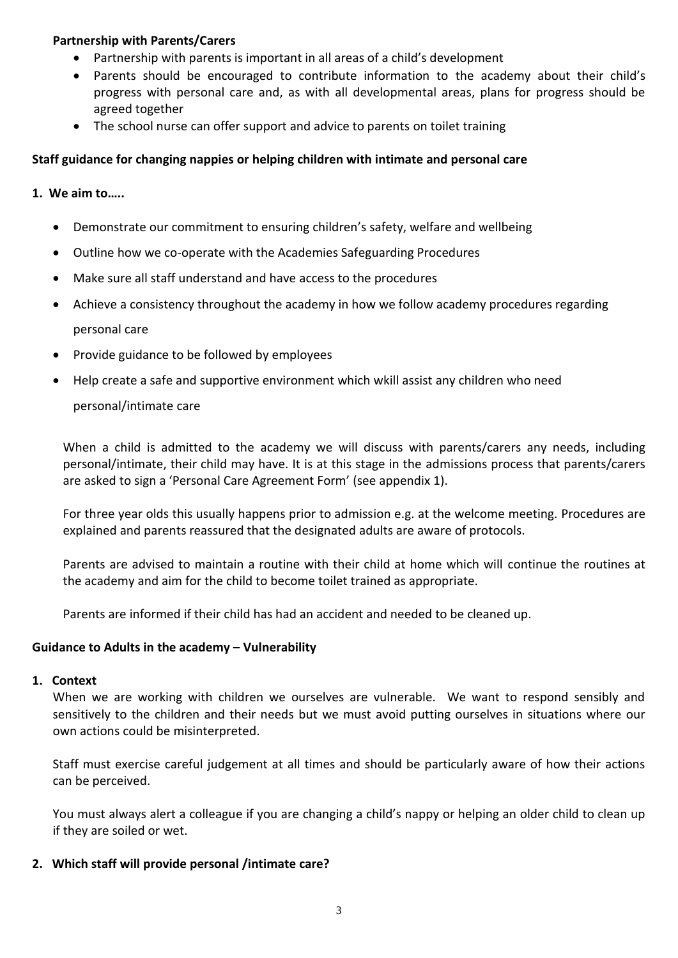### **Partnership with Parents/Carers**

- Partnership with parents is important in all areas of a child's development
- Parents should be encouraged to contribute information to the academy about their child's progress with personal care and, as with all developmental areas, plans for progress should be agreed together
- The school nurse can offer support and advice to parents on toilet training

#### **Staff guidance for changing nappies or helping children with intimate and personal care**

- **1. We aim to…..**
	- Demonstrate our commitment to ensuring children's safety, welfare and wellbeing
	- Outline how we co-operate with the Academies Safeguarding Procedures
	- Make sure all staff understand and have access to the procedures
	- Achieve a consistency throughout the academy in how we follow academy procedures regarding personal care
	- Provide guidance to be followed by employees
	- Help create a safe and supportive environment which wkill assist any children who need

personal/intimate care

When a child is admitted to the academy we will discuss with parents/carers any needs, including personal/intimate, their child may have. It is at this stage in the admissions process that parents/carers are asked to sign a 'Personal Care Agreement Form' (see appendix 1).

For three year olds this usually happens prior to admission e.g. at the welcome meeting. Procedures are explained and parents reassured that the designated adults are aware of protocols.

Parents are advised to maintain a routine with their child at home which will continue the routines at the academy and aim for the child to become toilet trained as appropriate.

Parents are informed if their child has had an accident and needed to be cleaned up.

#### **Guidance to Adults in the academy – Vulnerability**

#### **1. Context**

When we are working with children we ourselves are vulnerable. We want to respond sensibly and sensitively to the children and their needs but we must avoid putting ourselves in situations where our own actions could be misinterpreted.

Staff must exercise careful judgement at all times and should be particularly aware of how their actions can be perceived.

You must always alert a colleague if you are changing a child's nappy or helping an older child to clean up if they are soiled or wet.

#### **2. Which staff will provide personal /intimate care?**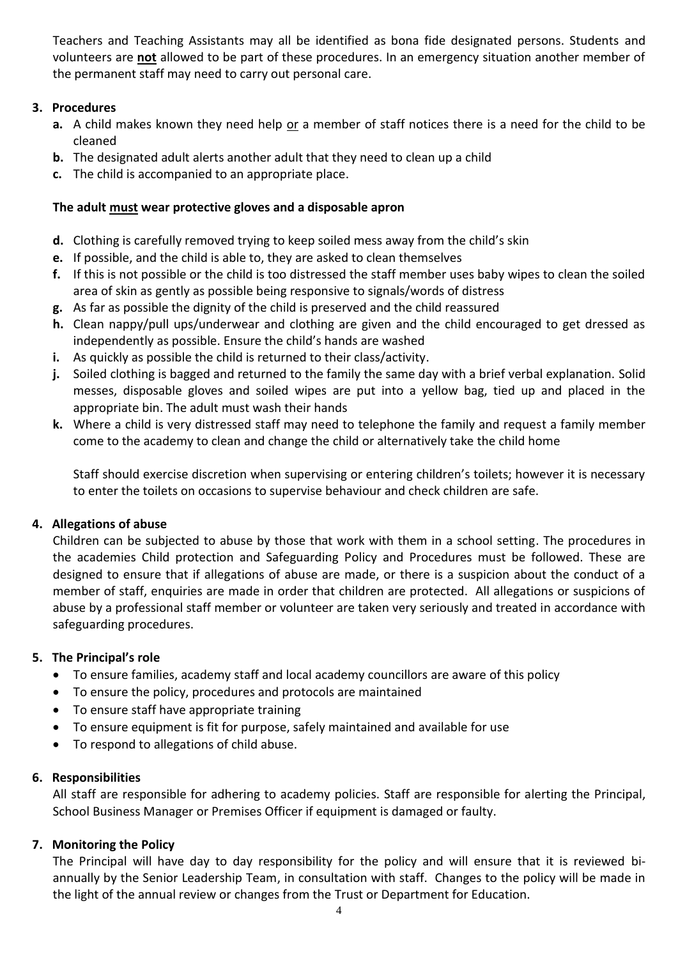Teachers and Teaching Assistants may all be identified as bona fide designated persons. Students and volunteers are **not** allowed to be part of these procedures. In an emergency situation another member of the permanent staff may need to carry out personal care.

# **3. Procedures**

- **a.** A child makes known they need help <u>or</u> a member of staff notices there is a need for the child to be cleaned
- **b.** The designated adult alerts another adult that they need to clean up a child
- **c.** The child is accompanied to an appropriate place.

# **The adult must wear protective gloves and a disposable apron**

- **d.** Clothing is carefully removed trying to keep soiled mess away from the child's skin
- **e.** If possible, and the child is able to, they are asked to clean themselves
- **f.** If this is not possible or the child is too distressed the staff member uses baby wipes to clean the soiled area of skin as gently as possible being responsive to signals/words of distress
- **g.** As far as possible the dignity of the child is preserved and the child reassured
- **h.** Clean nappy/pull ups/underwear and clothing are given and the child encouraged to get dressed as independently as possible. Ensure the child's hands are washed
- **i.** As quickly as possible the child is returned to their class/activity.
- **j.** Soiled clothing is bagged and returned to the family the same day with a brief verbal explanation. Solid messes, disposable gloves and soiled wipes are put into a yellow bag, tied up and placed in the appropriate bin. The adult must wash their hands
- **k.** Where a child is very distressed staff may need to telephone the family and request a family member come to the academy to clean and change the child or alternatively take the child home

Staff should exercise discretion when supervising or entering children's toilets; however it is necessary to enter the toilets on occasions to supervise behaviour and check children are safe.

# **4. Allegations of abuse**

Children can be subjected to abuse by those that work with them in a school setting. The procedures in the academies Child protection and Safeguarding Policy and Procedures must be followed. These are designed to ensure that if allegations of abuse are made, or there is a suspicion about the conduct of a member of staff, enquiries are made in order that children are protected. All allegations or suspicions of abuse by a professional staff member or volunteer are taken very seriously and treated in accordance with safeguarding procedures.

# **5. The Principal's role**

- To ensure families, academy staff and local academy councillors are aware of this policy
- To ensure the policy, procedures and protocols are maintained
- To ensure staff have appropriate training
- To ensure equipment is fit for purpose, safely maintained and available for use
- To respond to allegations of child abuse.

# **6. Responsibilities**

All staff are responsible for adhering to academy policies. Staff are responsible for alerting the Principal, School Business Manager or Premises Officer if equipment is damaged or faulty.

# **7. Monitoring the Policy**

The Principal will have day to day responsibility for the policy and will ensure that it is reviewed biannually by the Senior Leadership Team, in consultation with staff. Changes to the policy will be made in the light of the annual review or changes from the Trust or Department for Education.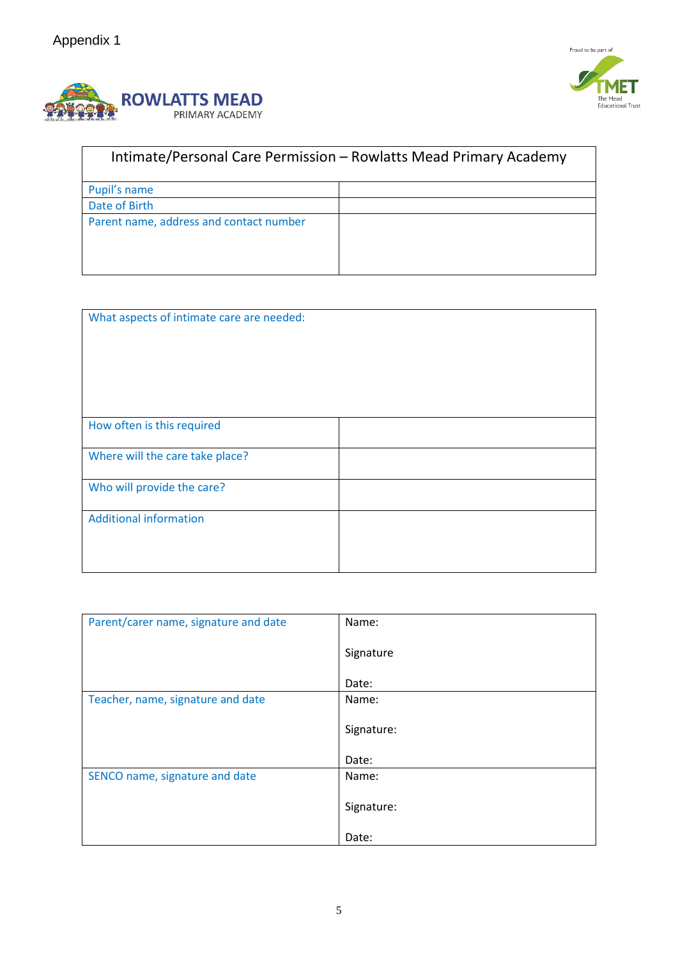



| Intimate/Personal Care Permission – Rowlatts Mead Primary Academy |  |  |  |  |
|-------------------------------------------------------------------|--|--|--|--|
| Pupil's name                                                      |  |  |  |  |
| Date of Birth                                                     |  |  |  |  |
| Parent name, address and contact number                           |  |  |  |  |

| What aspects of intimate care are needed: |  |
|-------------------------------------------|--|
| How often is this required                |  |
| Where will the care take place?           |  |
| Who will provide the care?                |  |
| <b>Additional information</b>             |  |

| Parent/carer name, signature and date | Name:      |
|---------------------------------------|------------|
|                                       | Signature  |
|                                       |            |
|                                       | Date:      |
| Teacher, name, signature and date     | Name:      |
|                                       |            |
|                                       | Signature: |
|                                       | Date:      |
|                                       |            |
| SENCO name, signature and date        | Name:      |
|                                       |            |
|                                       | Signature: |
|                                       |            |
|                                       | Date:      |